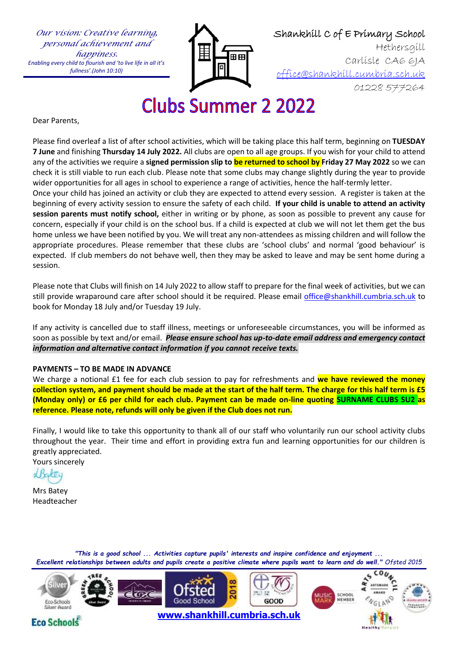*Our vision: Creative learning, personal achievement and happiness. Enabling every child to flourish and 'to live life in all it's fullness'.(John 10:10)*



 Shankhill C of E Primary School Hethersgill Carlisle CA6 6JA [office@shankhill.cumbria.sch.uk](mailto:office@shankhill.cumbria.sch.uk) 01228 577264

## **Clubs Summer 2 2022**

Dear Parents,

Please find overleaf a list of after school activities, which will be taking place this half term, beginning on **TUESDAY 7 June** and finishing **Thursday 14 July 2022.** All clubs are open to all age groups. If you wish for your child to attend any of the activities we require a **signed permission slip to be returned to school by Friday 27 May 2022** so we can check it is still viable to run each club. Please note that some clubs may change slightly during the year to provide wider opportunities for all ages in school to experience a range of activities, hence the half-termly letter.

Once your child has joined an activity or club they are expected to attend every session. A register is taken at the beginning of every activity session to ensure the safety of each child. **If your child is unable to attend an activity session parents must notify school,** either in writing or by phone, as soon as possible to prevent any cause for concern, especially if your child is on the school bus. If a child is expected at club we will not let them get the bus home unless we have been notified by you. We will treat any non-attendees as missing children and will follow the appropriate procedures. Please remember that these clubs are 'school clubs' and normal 'good behaviour' is expected. If club members do not behave well, then they may be asked to leave and may be sent home during a session.

Please note that Clubs will finish on 14 July 2022 to allow staff to prepare for the final week of activities, but we can still provide wraparound care after school should it be required. Please email [office@shankhill.cumbria.sch.uk](mailto:office@shankhill.cumbria.sch.uk) to book for Monday 18 July and/or Tuesday 19 July.

If any activity is cancelled due to staff illness, meetings or unforeseeable circumstances, you will be informed as soon as possible by text and/or email. *Please ensure school has up-to-date email address and emergency contact information and alternative contact information if you cannot receive texts.*

## **PAYMENTS – TO BE MADE IN ADVANCE**

We charge a notional £1 fee for each club session to pay for refreshments and **we have reviewed the money collection system, and payment should be made at the start of the half term. The charge for this half term is £5 (Monday only) or £6 per child for each club. Payment can be made on-line quoting SURNAME CLUBS SU2 as reference. Please note, refunds will only be given if the Club does not run.**

Finally, I would like to take this opportunity to thank all of our staff who voluntarily run our school activity clubs throughout the year. Their time and effort in providing extra fun and learning opportunities for our children is greatly appreciated.

Yours sincerely

Shater

Mrs Batey Headteacher

**Eco Schools** 

*"This is a good school ... Activities capture pupils' interests and inspire confidence and enjoyment ... Excellent relationships between adults and pupils create a positive climate where pupils want to learn and do well." Ofsted 2015*